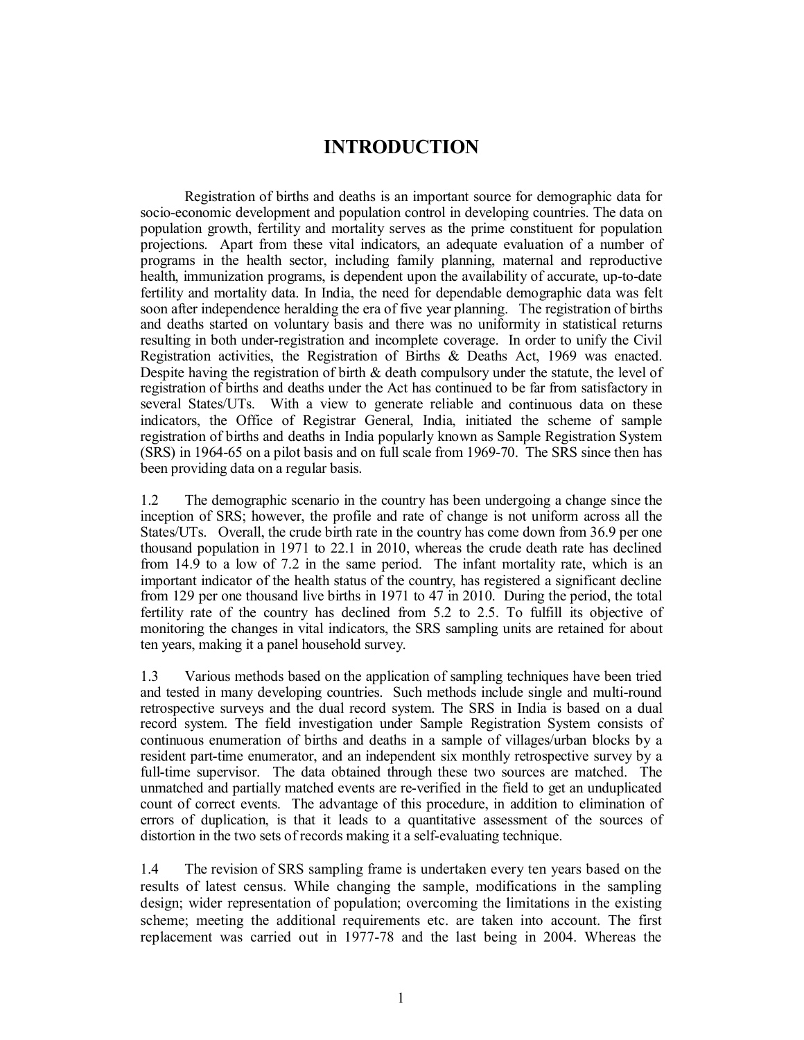# **INTRODUCTION**

Registration of births and deaths is an important source for demographic data for socio-economic development and population control in developing countries. The data on population growth, fertility and mortality serves as the prime constituent for population projections. Apart from these vital indicators, an adequate evaluation of a number of programs in the health sector, including family planning, maternal and reproductive health, immunization programs, is dependent upon the availability of accurate, up-to-date fertility and mortality data. In India, the need for dependable demographic data was felt soon after independence heralding the era of five year planning. The registration of births and deaths started on voluntary basis and there was no uniformity in statistical returns resulting in both under-registration and incomplete coverage. In order to unify the Civil Registration activities, the Registration of Births & Deaths Act, 1969 was enacted. Despite having the registration of birth  $\&$  death compulsory under the statute, the level of registration of births and deaths under the Act has continued to be far from satisfactory in several States/UTs. With a view to generate reliable and continuous data on these indicators, the Office of Registrar General, India, initiated the scheme of sample registration of births and deaths in India popularly known as Sample Registration System (SRS) in 1964-65 on a pilot basis and on full scale from 1969-70. The SRS since then has been providing data on a regular basis.

1.2 The demographic scenario in the country has been undergoing a change since the inception of SRS; however, the profile and rate of change is not uniform across all the States/UTs. Overall, the crude birth rate in the country has come down from 36.9 per one thousand population in 1971 to 22.1 in 2010, whereas the crude death rate has declined from 14.9 to a low of 7.2 in the same period. The infant mortality rate, which is an important indicator of the health status of the country, has registered a significant decline from 129 per one thousand live births in 1971 to 47 in 2010. During the period, the total fertility rate of the country has declined from 5.2 to 2.5. To fulfill its objective of monitoring the changes in vital indicators, the SRS sampling units are retained for about ten years, making it a panel household survey.

1.3 Various methods based on the application of sampling techniques have been tried and tested in many developing countries. Such methods include single and multi-round retrospective surveys and the dual record system. The SRS in India is based on a dual record system. The field investigation under Sample Registration System consists of continuous enumeration of births and deaths in a sample of villages/urban blocks by a resident part-time enumerator, and an independent six monthly retrospective survey by a full-time supervisor. The data obtained through these two sources are matched. The unmatched and partially matched events are re-verified in the field to get an unduplicated count of correct events. The advantage of this procedure, in addition to elimination of errors of duplication, is that it leads to a quantitative assessment of the sources of distortion in the two sets of records making it a self-evaluating technique.

1.4 The revision of SRS sampling frame is undertaken every ten years based on the results of latest census. While changing the sample, modifications in the sampling design; wider representation of population; overcoming the limitations in the existing scheme; meeting the additional requirements etc. are taken into account. The first replacement was carried out in 1977-78 and the last being in 2004. Whereas the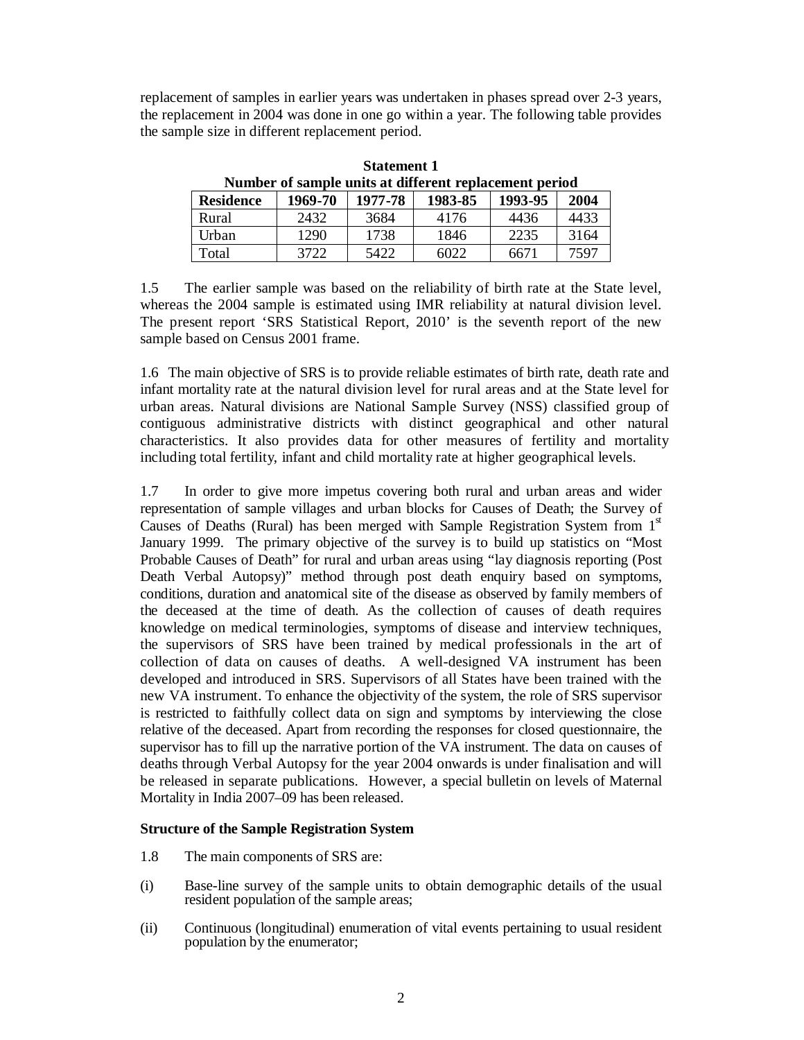replacement of samples in earlier years was undertaken in phases spread over 2-3 years, the replacement in 2004 was done in one go within a year. The following table provides the sample size in different replacement period.

| Number of sample units at different replacement period |         |         |         |         |      |  |
|--------------------------------------------------------|---------|---------|---------|---------|------|--|
| <b>Residence</b>                                       | 1969-70 | 1977-78 | 1983-85 | 1993-95 | 2004 |  |
| Rural                                                  | 2432    | 3684    | 4176    | 4436    | 4433 |  |
| Urban                                                  | 1290    | 1738    | 1846    | 2235    | 3164 |  |
| Total                                                  | 3722    | 5422    | 6022    | 6671    | 7597 |  |

**Statement 1**

1.5 The earlier sample was based on the reliability of birth rate at the State level, whereas the 2004 sample is estimated using IMR reliability at natural division level. The present report 'SRS Statistical Report, 2010' is the seventh report of the new sample based on Census 2001 frame.

1.6 The main objective of SRS is to provide reliable estimates of birth rate, death rate and infant mortality rate at the natural division level for rural areas and at the State level for urban areas. Natural divisions are National Sample Survey (NSS) classified group of contiguous administrative districts with distinct geographical and other natural characteristics. It also provides data for other measures of fertility and mortality including total fertility, infant and child mortality rate at higher geographical levels.

1.7 In order to give more impetus covering both rural and urban areas and wider representation of sample villages and urban blocks for Causes of Death; the Survey of Causes of Deaths (Rural) has been merged with Sample Registration System from  $1<sup>st</sup>$ January 1999. The primary objective of the survey is to build up statistics on "Most Probable Causes of Death" for rural and urban areas using "lay diagnosis reporting (Post Death Verbal Autopsy)" method through post death enquiry based on symptoms, conditions, duration and anatomical site of the disease as observed by family members of the deceased at the time of death. As the collection of causes of death requires knowledge on medical terminologies, symptoms of disease and interview techniques, the supervisors of SRS have been trained by medical professionals in the art of collection of data on causes of deaths. A well-designed VA instrument has been developed and introduced in SRS. Supervisors of all States have been trained with the new VA instrument. To enhance the objectivity of the system, the role of SRS supervisor is restricted to faithfully collect data on sign and symptoms by interviewing the close relative of the deceased. Apart from recording the responses for closed questionnaire, the supervisor has to fill up the narrative portion of the VA instrument. The data on causes of deaths through Verbal Autopsy for the year 2004 onwards is under finalisation and will be released in separate publications. However, a special bulletin on levels of Maternal Mortality in India 2007–09 has been released.

### **Structure of the Sample Registration System**

- 1.8 The main components of SRS are:
- (i) Base-line survey of the sample units to obtain demographic details of the usual resident population of the sample areas;
- (ii) Continuous (longitudinal) enumeration of vital events pertaining to usual resident population by the enumerator;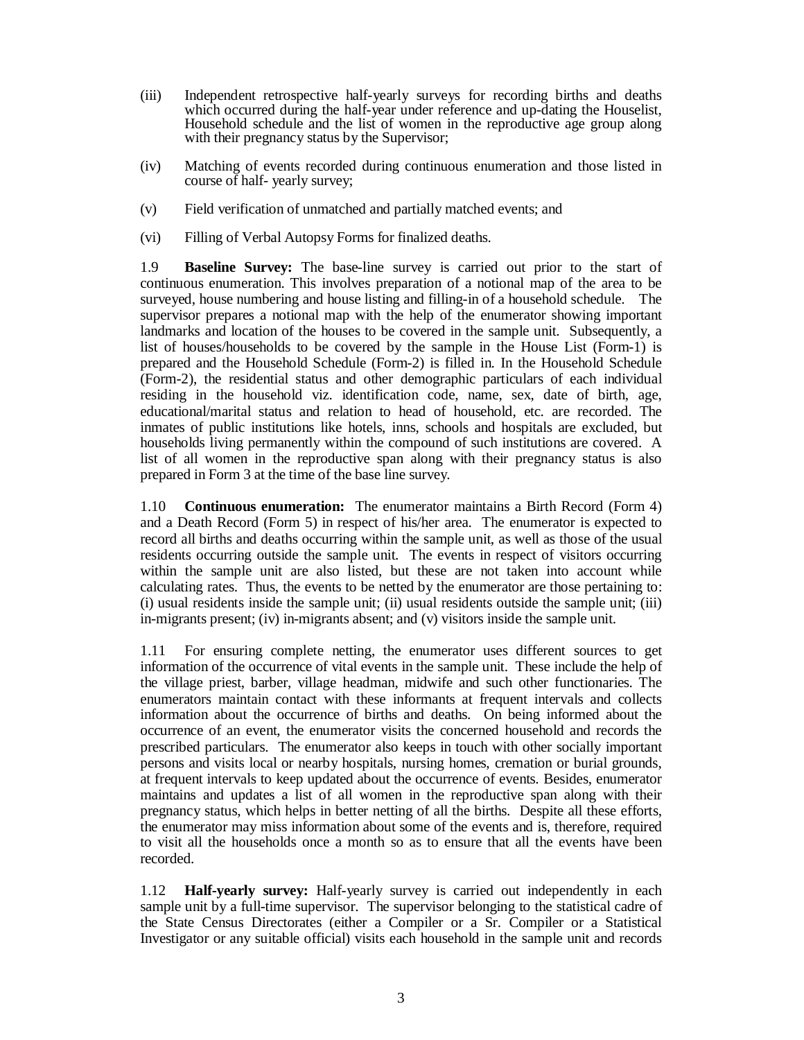- (iii) Independent retrospective half-yearly surveys for recording births and deaths which occurred during the half-year under reference and up-dating the Houselist, Household schedule and the list of women in the reproductive age group along with their pregnancy status by the Supervisor;
- (iv) Matching of events recorded during continuous enumeration and those listed in course of half- yearly survey;
- (v) Field verification of unmatched and partially matched events; and
- (vi) Filling of Verbal Autopsy Forms for finalized deaths.

1.9 **Baseline Survey:** The base-line survey is carried out prior to the start of continuous enumeration. This involves preparation of a notional map of the area to be surveyed, house numbering and house listing and filling-in of a household schedule. The supervisor prepares a notional map with the help of the enumerator showing important landmarks and location of the houses to be covered in the sample unit. Subsequently, a list of houses/households to be covered by the sample in the House List (Form-1) is prepared and the Household Schedule (Form-2) is filled in. In the Household Schedule (Form-2), the residential status and other demographic particulars of each individual residing in the household viz. identification code, name, sex, date of birth, age, educational/marital status and relation to head of household, etc. are recorded. The inmates of public institutions like hotels, inns, schools and hospitals are excluded, but households living permanently within the compound of such institutions are covered. A list of all women in the reproductive span along with their pregnancy status is also prepared in Form 3 at the time of the base line survey.

1.10 **Continuous enumeration:** The enumerator maintains a Birth Record (Form 4) and a Death Record (Form 5) in respect of his/her area. The enumerator is expected to record all births and deaths occurring within the sample unit, as well as those of the usual residents occurring outside the sample unit. The events in respect of visitors occurring within the sample unit are also listed, but these are not taken into account while calculating rates. Thus, the events to be netted by the enumerator are those pertaining to: (i) usual residents inside the sample unit; (ii) usual residents outside the sample unit; (iii) in-migrants present; (iv) in-migrants absent; and (v) visitors inside the sample unit.

1.11 For ensuring complete netting, the enumerator uses different sources to get information of the occurrence of vital events in the sample unit. These include the help of the village priest, barber, village headman, midwife and such other functionaries. The enumerators maintain contact with these informants at frequent intervals and collects information about the occurrence of births and deaths. On being informed about the occurrence of an event, the enumerator visits the concerned household and records the prescribed particulars. The enumerator also keeps in touch with other socially important persons and visits local or nearby hospitals, nursing homes, cremation or burial grounds, at frequent intervals to keep updated about the occurrence of events. Besides, enumerator maintains and updates a list of all women in the reproductive span along with their pregnancy status, which helps in better netting of all the births. Despite all these efforts, the enumerator may miss information about some of the events and is, therefore, required to visit all the households once a month so as to ensure that all the events have been recorded.

1.12 **Half-yearly survey:** Half-yearly survey is carried out independently in each sample unit by a full-time supervisor. The supervisor belonging to the statistical cadre of the State Census Directorates (either a Compiler or a Sr. Compiler or a Statistical Investigator or any suitable official) visits each household in the sample unit and records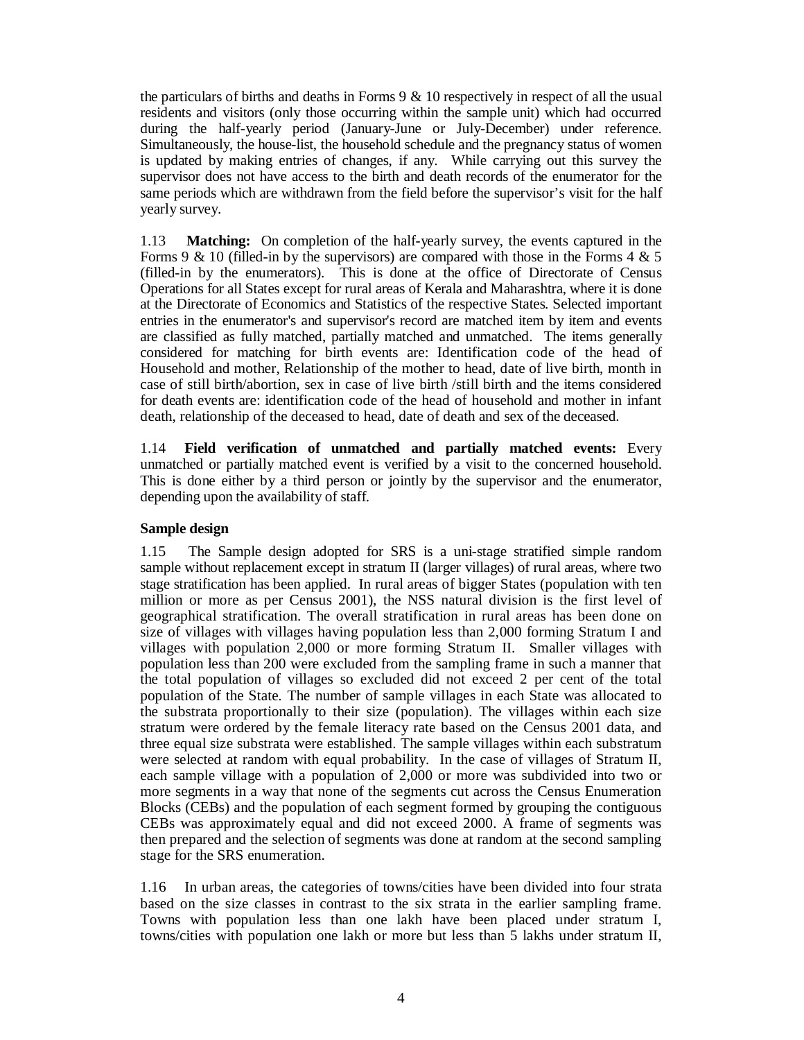the particulars of births and deaths in Forms 9 & 10 respectively in respect of all the usual residents and visitors (only those occurring within the sample unit) which had occurred during the half-yearly period (January-June or July-December) under reference. Simultaneously, the house-list, the household schedule and the pregnancy status of women is updated by making entries of changes, if any. While carrying out this survey the supervisor does not have access to the birth and death records of the enumerator for the same periods which are withdrawn from the field before the supervisor's visit for the half yearly survey.

1.13 **Matching:** On completion of the half-yearly survey, the events captured in the Forms 9 & 10 (filled-in by the supervisors) are compared with those in the Forms 4 & 5 (filled-in by the enumerators). This is done at the office of Directorate of Census Operations for all States except for rural areas of Kerala and Maharashtra, where it is done at the Directorate of Economics and Statistics of the respective States. Selected important entries in the enumerator's and supervisor's record are matched item by item and events are classified as fully matched, partially matched and unmatched. The items generally considered for matching for birth events are: Identification code of the head of Household and mother, Relationship of the mother to head, date of live birth, month in case of still birth/abortion, sex in case of live birth /still birth and the items considered for death events are: identification code of the head of household and mother in infant death, relationship of the deceased to head, date of death and sex of the deceased.

1.14 **Field verification of unmatched and partially matched events:** Every unmatched or partially matched event is verified by a visit to the concerned household. This is done either by a third person or jointly by the supervisor and the enumerator, depending upon the availability of staff.

### **Sample design**

1.15 The Sample design adopted for SRS is a uni-stage stratified simple random sample without replacement except in stratum II (larger villages) of rural areas, where two stage stratification has been applied. In rural areas of bigger States (population with ten million or more as per Census 2001), the NSS natural division is the first level of geographical stratification. The overall stratification in rural areas has been done on size of villages with villages having population less than 2,000 forming Stratum I and villages with population 2,000 or more forming Stratum II. Smaller villages with population less than 200 were excluded from the sampling frame in such a manner that the total population of villages so excluded did not exceed 2 per cent of the total population of the State. The number of sample villages in each State was allocated to the substrata proportionally to their size (population). The villages within each size stratum were ordered by the female literacy rate based on the Census 2001 data, and three equal size substrata were established. The sample villages within each substratum were selected at random with equal probability. In the case of villages of Stratum II, each sample village with a population of 2,000 or more was subdivided into two or more segments in a way that none of the segments cut across the Census Enumeration Blocks (CEBs) and the population of each segment formed by grouping the contiguous CEBs was approximately equal and did not exceed 2000. A frame of segments was then prepared and the selection of segments was done at random at the second sampling stage for the SRS enumeration.

1.16 In urban areas, the categories of towns/cities have been divided into four strata based on the size classes in contrast to the six strata in the earlier sampling frame. Towns with population less than one lakh have been placed under stratum I, towns/cities with population one lakh or more but less than 5 lakhs under stratum II,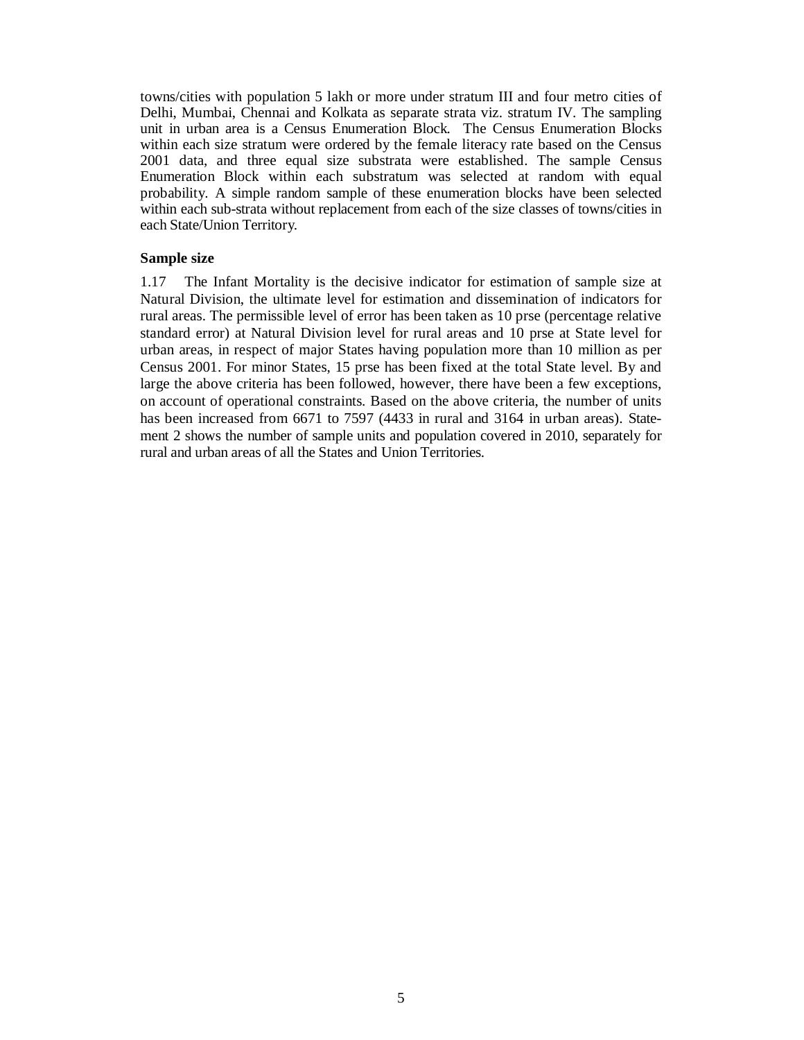towns/cities with population 5 lakh or more under stratum III and four metro cities of Delhi, Mumbai, Chennai and Kolkata as separate strata viz. stratum IV. The sampling unit in urban area is a Census Enumeration Block. The Census Enumeration Blocks within each size stratum were ordered by the female literacy rate based on the Census 2001 data, and three equal size substrata were established. The sample Census Enumeration Block within each substratum was selected at random with equal probability. A simple random sample of these enumeration blocks have been selected within each sub-strata without replacement from each of the size classes of towns/cities in each State/Union Territory.

#### **Sample size**

1.17 The Infant Mortality is the decisive indicator for estimation of sample size at Natural Division, the ultimate level for estimation and dissemination of indicators for rural areas. The permissible level of error has been taken as 10 prse (percentage relative standard error) at Natural Division level for rural areas and 10 prse at State level for urban areas, in respect of major States having population more than 10 million as per Census 2001. For minor States, 15 prse has been fixed at the total State level. By and large the above criteria has been followed, however, there have been a few exceptions, on account of operational constraints. Based on the above criteria, the number of units has been increased from 6671 to 7597 (4433 in rural and 3164 in urban areas). Statement 2 shows the number of sample units and population covered in 2010, separately for rural and urban areas of all the States and Union Territories.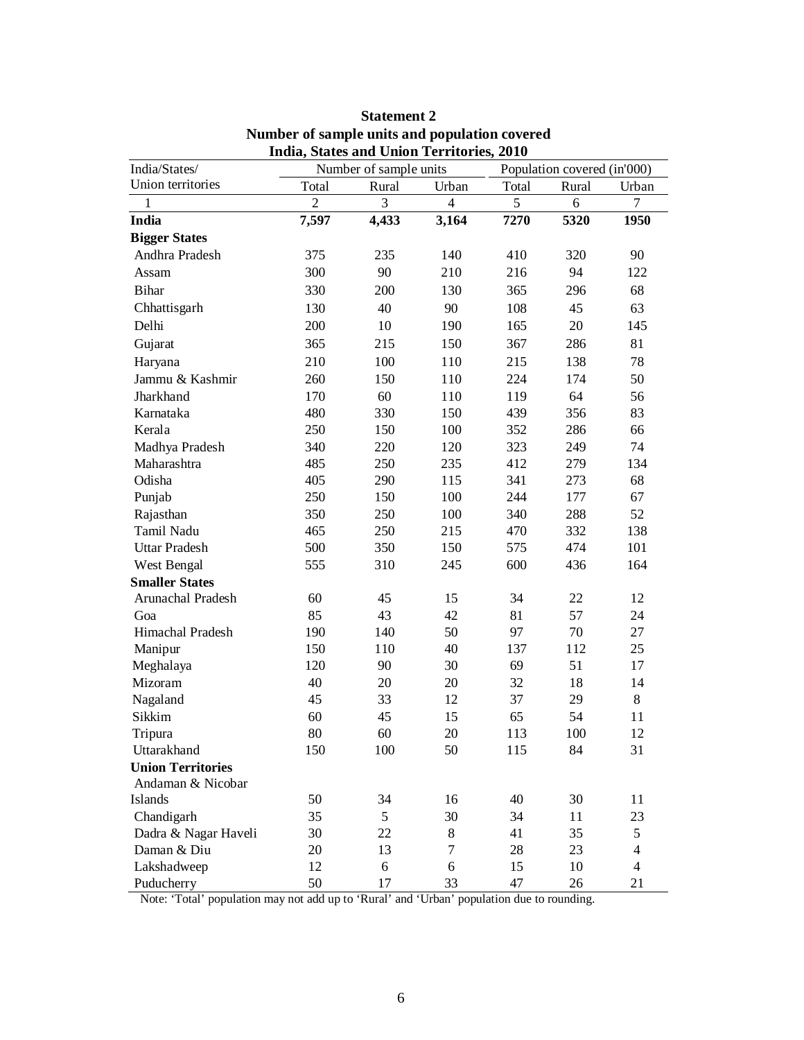| Union territories<br>Total<br>Rural<br>Urban<br>Total<br>$\overline{2}$<br>3<br>5<br>$\overline{4}$<br>1<br>India<br>7,597<br>4,433<br>3,164<br>7270<br><b>Bigger States</b><br>Andhra Pradesh<br>140<br>410<br>375<br>235<br>300<br>90<br>210<br>216<br>Assam<br><b>Bihar</b><br>330<br>200<br>130<br>365<br>90<br>Chhattisgarh<br>130<br>40<br>108<br>Delhi<br>200<br>10<br>190<br>165<br>150<br>Gujarat<br>365<br>215<br>367<br>210<br>100<br>110<br>215<br>Haryana<br>224<br>Jammu & Kashmir<br>260<br>150<br>110<br>Jharkhand<br>170<br>60<br>110<br>119<br>480<br>330<br>150<br>Karnataka<br>439<br>Kerala<br>250<br>100<br>352<br>150<br>Madhya Pradesh<br>340<br>220<br>120<br>323<br>Maharashtra<br>485<br>250<br>235<br>412<br>Odisha<br>405<br>290<br>341<br>115<br>Punjab<br>250<br>100<br>244<br>150<br>Rajasthan<br>350<br>250<br>100<br>340<br>Tamil Nadu<br>465<br>250<br>215<br>470<br><b>Uttar Pradesh</b><br>500<br>350<br>150<br>575<br>310<br>600<br>West Bengal<br>555<br>245<br><b>Smaller States</b><br>Arunachal Pradesh<br>60<br>45<br>15<br>34<br>42<br>81<br>85<br>43<br>Goa | Rural<br>6<br>5320<br>320<br>94<br>296<br>45<br>20<br>286<br>138 | Urban<br>$\tau$<br>1950<br>90<br>122<br>68<br>63<br>145<br>81 |
|----------------------------------------------------------------------------------------------------------------------------------------------------------------------------------------------------------------------------------------------------------------------------------------------------------------------------------------------------------------------------------------------------------------------------------------------------------------------------------------------------------------------------------------------------------------------------------------------------------------------------------------------------------------------------------------------------------------------------------------------------------------------------------------------------------------------------------------------------------------------------------------------------------------------------------------------------------------------------------------------------------------------------------------------------------------------------------------------------------|------------------------------------------------------------------|---------------------------------------------------------------|
|                                                                                                                                                                                                                                                                                                                                                                                                                                                                                                                                                                                                                                                                                                                                                                                                                                                                                                                                                                                                                                                                                                          |                                                                  |                                                               |
|                                                                                                                                                                                                                                                                                                                                                                                                                                                                                                                                                                                                                                                                                                                                                                                                                                                                                                                                                                                                                                                                                                          |                                                                  |                                                               |
|                                                                                                                                                                                                                                                                                                                                                                                                                                                                                                                                                                                                                                                                                                                                                                                                                                                                                                                                                                                                                                                                                                          |                                                                  |                                                               |
|                                                                                                                                                                                                                                                                                                                                                                                                                                                                                                                                                                                                                                                                                                                                                                                                                                                                                                                                                                                                                                                                                                          |                                                                  |                                                               |
|                                                                                                                                                                                                                                                                                                                                                                                                                                                                                                                                                                                                                                                                                                                                                                                                                                                                                                                                                                                                                                                                                                          |                                                                  |                                                               |
|                                                                                                                                                                                                                                                                                                                                                                                                                                                                                                                                                                                                                                                                                                                                                                                                                                                                                                                                                                                                                                                                                                          |                                                                  |                                                               |
|                                                                                                                                                                                                                                                                                                                                                                                                                                                                                                                                                                                                                                                                                                                                                                                                                                                                                                                                                                                                                                                                                                          |                                                                  |                                                               |
|                                                                                                                                                                                                                                                                                                                                                                                                                                                                                                                                                                                                                                                                                                                                                                                                                                                                                                                                                                                                                                                                                                          |                                                                  |                                                               |
|                                                                                                                                                                                                                                                                                                                                                                                                                                                                                                                                                                                                                                                                                                                                                                                                                                                                                                                                                                                                                                                                                                          |                                                                  |                                                               |
|                                                                                                                                                                                                                                                                                                                                                                                                                                                                                                                                                                                                                                                                                                                                                                                                                                                                                                                                                                                                                                                                                                          |                                                                  |                                                               |
|                                                                                                                                                                                                                                                                                                                                                                                                                                                                                                                                                                                                                                                                                                                                                                                                                                                                                                                                                                                                                                                                                                          |                                                                  | 78                                                            |
|                                                                                                                                                                                                                                                                                                                                                                                                                                                                                                                                                                                                                                                                                                                                                                                                                                                                                                                                                                                                                                                                                                          | 174                                                              | 50                                                            |
|                                                                                                                                                                                                                                                                                                                                                                                                                                                                                                                                                                                                                                                                                                                                                                                                                                                                                                                                                                                                                                                                                                          | 64                                                               | 56                                                            |
|                                                                                                                                                                                                                                                                                                                                                                                                                                                                                                                                                                                                                                                                                                                                                                                                                                                                                                                                                                                                                                                                                                          | 356                                                              | 83                                                            |
|                                                                                                                                                                                                                                                                                                                                                                                                                                                                                                                                                                                                                                                                                                                                                                                                                                                                                                                                                                                                                                                                                                          | 286                                                              | 66                                                            |
|                                                                                                                                                                                                                                                                                                                                                                                                                                                                                                                                                                                                                                                                                                                                                                                                                                                                                                                                                                                                                                                                                                          | 249                                                              | 74                                                            |
|                                                                                                                                                                                                                                                                                                                                                                                                                                                                                                                                                                                                                                                                                                                                                                                                                                                                                                                                                                                                                                                                                                          | 279                                                              | 134                                                           |
|                                                                                                                                                                                                                                                                                                                                                                                                                                                                                                                                                                                                                                                                                                                                                                                                                                                                                                                                                                                                                                                                                                          | 273                                                              | 68                                                            |
|                                                                                                                                                                                                                                                                                                                                                                                                                                                                                                                                                                                                                                                                                                                                                                                                                                                                                                                                                                                                                                                                                                          | 177                                                              | 67                                                            |
|                                                                                                                                                                                                                                                                                                                                                                                                                                                                                                                                                                                                                                                                                                                                                                                                                                                                                                                                                                                                                                                                                                          | 288                                                              | 52                                                            |
|                                                                                                                                                                                                                                                                                                                                                                                                                                                                                                                                                                                                                                                                                                                                                                                                                                                                                                                                                                                                                                                                                                          | 332                                                              | 138                                                           |
|                                                                                                                                                                                                                                                                                                                                                                                                                                                                                                                                                                                                                                                                                                                                                                                                                                                                                                                                                                                                                                                                                                          | 474                                                              | 101                                                           |
|                                                                                                                                                                                                                                                                                                                                                                                                                                                                                                                                                                                                                                                                                                                                                                                                                                                                                                                                                                                                                                                                                                          | 436                                                              | 164                                                           |
|                                                                                                                                                                                                                                                                                                                                                                                                                                                                                                                                                                                                                                                                                                                                                                                                                                                                                                                                                                                                                                                                                                          |                                                                  |                                                               |
|                                                                                                                                                                                                                                                                                                                                                                                                                                                                                                                                                                                                                                                                                                                                                                                                                                                                                                                                                                                                                                                                                                          | 22                                                               | 12                                                            |
|                                                                                                                                                                                                                                                                                                                                                                                                                                                                                                                                                                                                                                                                                                                                                                                                                                                                                                                                                                                                                                                                                                          | 57                                                               | 24                                                            |
| Himachal Pradesh<br>140<br>50<br>97<br>190                                                                                                                                                                                                                                                                                                                                                                                                                                                                                                                                                                                                                                                                                                                                                                                                                                                                                                                                                                                                                                                               | 70                                                               | 27                                                            |
| 40<br>Manipur<br>150<br>110<br>137                                                                                                                                                                                                                                                                                                                                                                                                                                                                                                                                                                                                                                                                                                                                                                                                                                                                                                                                                                                                                                                                       | 112                                                              | 25                                                            |
| 120<br>30<br>69<br>Meghalaya<br>90                                                                                                                                                                                                                                                                                                                                                                                                                                                                                                                                                                                                                                                                                                                                                                                                                                                                                                                                                                                                                                                                       | 51                                                               | 17                                                            |
| Mizoram<br>40<br>20<br>20<br>32                                                                                                                                                                                                                                                                                                                                                                                                                                                                                                                                                                                                                                                                                                                                                                                                                                                                                                                                                                                                                                                                          | 18                                                               | 14                                                            |
| Nagaland<br>45<br>33<br>37<br>12                                                                                                                                                                                                                                                                                                                                                                                                                                                                                                                                                                                                                                                                                                                                                                                                                                                                                                                                                                                                                                                                         | 29                                                               | 8                                                             |
| 60<br>65<br>Sikkim<br>45<br>15                                                                                                                                                                                                                                                                                                                                                                                                                                                                                                                                                                                                                                                                                                                                                                                                                                                                                                                                                                                                                                                                           | 54                                                               | 11                                                            |
| 80<br>60<br>20<br>Tripura<br>113                                                                                                                                                                                                                                                                                                                                                                                                                                                                                                                                                                                                                                                                                                                                                                                                                                                                                                                                                                                                                                                                         | 100                                                              | 12                                                            |
| Uttarakhand<br>150<br>100<br>50<br>115                                                                                                                                                                                                                                                                                                                                                                                                                                                                                                                                                                                                                                                                                                                                                                                                                                                                                                                                                                                                                                                                   | 84                                                               | 31                                                            |
| <b>Union Territories</b>                                                                                                                                                                                                                                                                                                                                                                                                                                                                                                                                                                                                                                                                                                                                                                                                                                                                                                                                                                                                                                                                                 |                                                                  |                                                               |
| Andaman & Nicobar                                                                                                                                                                                                                                                                                                                                                                                                                                                                                                                                                                                                                                                                                                                                                                                                                                                                                                                                                                                                                                                                                        |                                                                  |                                                               |
| 34<br>16<br>Islands<br>50<br>40                                                                                                                                                                                                                                                                                                                                                                                                                                                                                                                                                                                                                                                                                                                                                                                                                                                                                                                                                                                                                                                                          | 30                                                               | 11                                                            |
| Chandigarh<br>35<br>5<br>30<br>34                                                                                                                                                                                                                                                                                                                                                                                                                                                                                                                                                                                                                                                                                                                                                                                                                                                                                                                                                                                                                                                                        | 11                                                               | 23                                                            |
| Dadra & Nagar Haveli<br>30<br>22<br>$8\,$<br>41<br>$\tau$<br>Daman & Diu<br>13                                                                                                                                                                                                                                                                                                                                                                                                                                                                                                                                                                                                                                                                                                                                                                                                                                                                                                                                                                                                                           | 35                                                               | 5<br>$\overline{4}$                                           |
| 20<br>28<br>12<br>6<br>6                                                                                                                                                                                                                                                                                                                                                                                                                                                                                                                                                                                                                                                                                                                                                                                                                                                                                                                                                                                                                                                                                 | 23                                                               | $\overline{4}$                                                |
| Lakshadweep<br>15<br>Puducherry<br>50<br>33<br>47<br>17                                                                                                                                                                                                                                                                                                                                                                                                                                                                                                                                                                                                                                                                                                                                                                                                                                                                                                                                                                                                                                                  | 10<br>26                                                         | 21                                                            |

# **Statement 2 Number of sample units and population covered India, States and Union Territories, 2010**

Note: 'Total' population may not add up to 'Rural' and 'Urban' population due to rounding.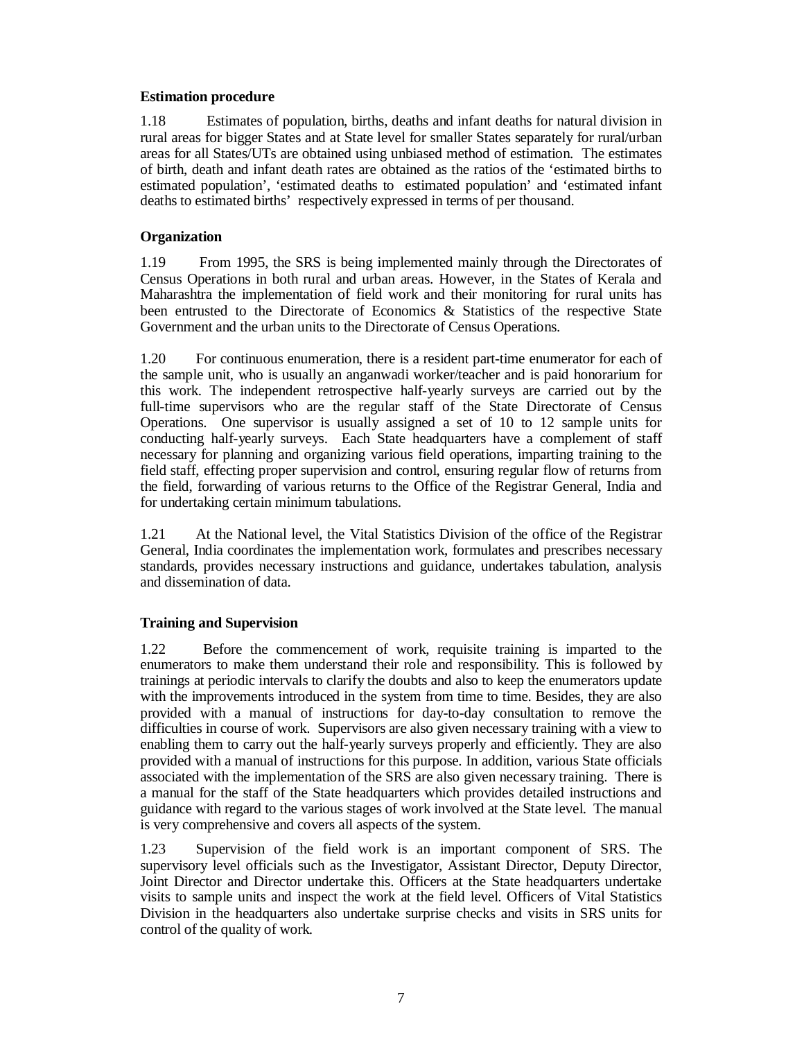### **Estimation procedure**

1.18 Estimates of population, births, deaths and infant deaths for natural division in rural areas for bigger States and at State level for smaller States separately for rural/urban areas for all States/UTs are obtained using unbiased method of estimation. The estimates of birth, death and infant death rates are obtained as the ratios of the 'estimated births to estimated population', 'estimated deaths to estimated population' and 'estimated infant deaths to estimated births' respectively expressed in terms of per thousand.

## **Organization**

1.19 From 1995, the SRS is being implemented mainly through the Directorates of Census Operations in both rural and urban areas. However, in the States of Kerala and Maharashtra the implementation of field work and their monitoring for rural units has been entrusted to the Directorate of Economics & Statistics of the respective State Government and the urban units to the Directorate of Census Operations.

1.20 For continuous enumeration, there is a resident part-time enumerator for each of the sample unit, who is usually an anganwadi worker/teacher and is paid honorarium for this work. The independent retrospective half-yearly surveys are carried out by the full-time supervisors who are the regular staff of the State Directorate of Census Operations. One supervisor is usually assigned a set of 10 to 12 sample units for conducting half-yearly surveys. Each State headquarters have a complement of staff necessary for planning and organizing various field operations, imparting training to the field staff, effecting proper supervision and control, ensuring regular flow of returns from the field, forwarding of various returns to the Office of the Registrar General, India and for undertaking certain minimum tabulations.

1.21 At the National level, the Vital Statistics Division of the office of the Registrar General, India coordinates the implementation work, formulates and prescribes necessary standards, provides necessary instructions and guidance, undertakes tabulation, analysis and dissemination of data.

### **Training and Supervision**

1.22 Before the commencement of work, requisite training is imparted to the enumerators to make them understand their role and responsibility. This is followed by trainings at periodic intervals to clarify the doubts and also to keep the enumerators update with the improvements introduced in the system from time to time. Besides, they are also provided with a manual of instructions for day-to-day consultation to remove the difficulties in course of work. Supervisors are also given necessary training with a view to enabling them to carry out the half-yearly surveys properly and efficiently. They are also provided with a manual of instructions for this purpose. In addition, various State officials associated with the implementation of the SRS are also given necessary training. There is a manual for the staff of the State headquarters which provides detailed instructions and guidance with regard to the various stages of work involved at the State level. The manual is very comprehensive and covers all aspects of the system.

1.23 Supervision of the field work is an important component of SRS. The supervisory level officials such as the Investigator, Assistant Director, Deputy Director, Joint Director and Director undertake this. Officers at the State headquarters undertake visits to sample units and inspect the work at the field level. Officers of Vital Statistics Division in the headquarters also undertake surprise checks and visits in SRS units for control of the quality of work.